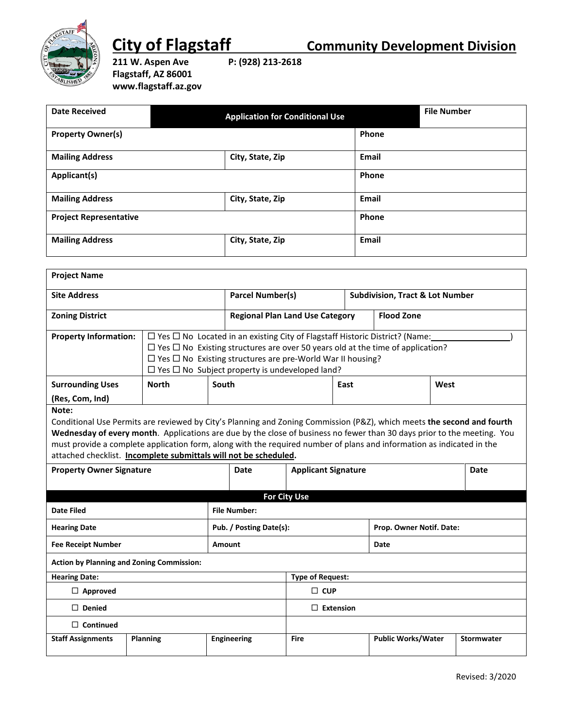

**211 W. Aspen Ave P: (928) 213-2618 Flagstaff, AZ 86001 www.flagstaff.az.gov**

| <b>Date Received</b>          | <b>Application for Conditional Use</b> | <b>File Number</b> |
|-------------------------------|----------------------------------------|--------------------|
| <b>Property Owner(s)</b>      |                                        | Phone              |
| <b>Mailing Address</b>        | City, State, Zip                       | Email              |
| Applicant(s)                  |                                        | Phone              |
| <b>Mailing Address</b>        | City, State, Zip                       | Email              |
| <b>Project Representative</b> |                                        | Phone              |
| <b>Mailing Address</b>        | City, State, Zip                       | Email              |

| <b>Project Name</b>          |                                                                                                                                                                                                                                                                                                                               |                                        |      |                                            |      |
|------------------------------|-------------------------------------------------------------------------------------------------------------------------------------------------------------------------------------------------------------------------------------------------------------------------------------------------------------------------------|----------------------------------------|------|--------------------------------------------|------|
| <b>Site Address</b>          |                                                                                                                                                                                                                                                                                                                               | <b>Parcel Number(s)</b>                |      | <b>Subdivision, Tract &amp; Lot Number</b> |      |
| <b>Zoning District</b>       |                                                                                                                                                                                                                                                                                                                               | <b>Regional Plan Land Use Category</b> |      | <b>Flood Zone</b>                          |      |
| <b>Property Information:</b> | $\Box$ Yes $\Box$ No Located in an existing City of Flagstaff Historic District? (Name:<br>$\Box$ Yes $\Box$ No Existing structures are over 50 years old at the time of application?<br>$\Box$ Yes $\Box$ No Existing structures are pre-World War II housing?<br>$\Box$ Yes $\Box$ No Subject property is undeveloped land? |                                        |      |                                            |      |
| <b>Surrounding Uses</b>      | North                                                                                                                                                                                                                                                                                                                         | South                                  | East |                                            | West |
| (Res. Com. Ind)              |                                                                                                                                                                                                                                                                                                                               |                                        |      |                                            |      |

**Note:**

Conditional Use Permits are reviewed by City's Planning and Zoning Commission (P&Z), which meets **the second and fourth Wednesday of every month**. Applications are due by the close of business no fewer than 30 days prior to the meeting. You must provide a complete application form, along with the required number of plans and information as indicated in the attached checklist. **Incomplete submittals will not be scheduled.**

| <b>Property Owner Signature</b>                  |          | Date                    | <b>Applicant Signature</b> |                          | Date                      |                   |  |
|--------------------------------------------------|----------|-------------------------|----------------------------|--------------------------|---------------------------|-------------------|--|
|                                                  |          |                         |                            |                          |                           |                   |  |
|                                                  |          |                         |                            | <b>For City Use</b>      |                           |                   |  |
| <b>Date Filed</b>                                |          |                         | <b>File Number:</b>        |                          |                           |                   |  |
| <b>Hearing Date</b>                              |          | Pub. / Posting Date(s): |                            | Prop. Owner Notif. Date: |                           |                   |  |
| <b>Fee Receipt Number</b>                        |          | <b>Amount</b>           |                            | Date                     |                           |                   |  |
| <b>Action by Planning and Zoning Commission:</b> |          |                         |                            |                          |                           |                   |  |
| <b>Hearing Date:</b>                             |          |                         | <b>Type of Request:</b>    |                          |                           |                   |  |
| $\Box$ Approved                                  |          | $\square$ CUP           |                            |                          |                           |                   |  |
| $\Box$ Denied                                    |          |                         | $\Box$ Extension           |                          |                           |                   |  |
| $\Box$ Continued                                 |          |                         |                            |                          |                           |                   |  |
| <b>Staff Assignments</b>                         | Planning |                         | <b>Engineering</b>         | <b>Fire</b>              | <b>Public Works/Water</b> | <b>Stormwater</b> |  |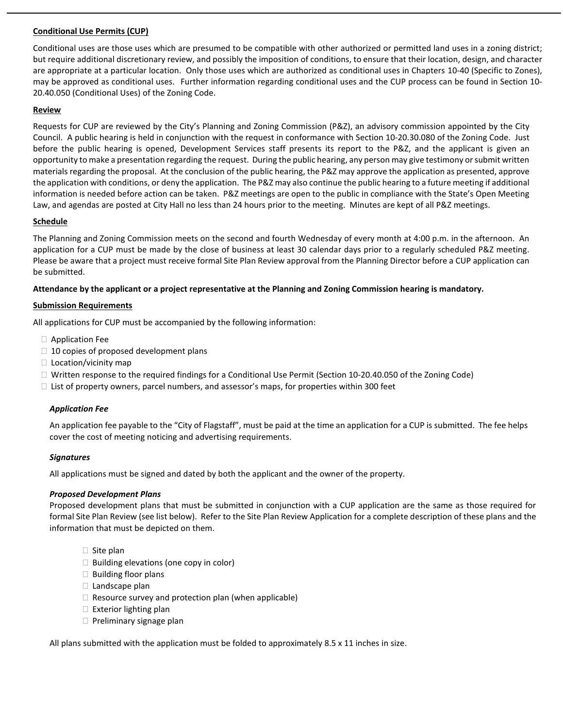## **Conditional Use Permits (CUP)**

Conditional uses are those uses which are presumed to be compatible with other authorized or permitted land uses in a zoning district; but require additional discretionary review, and possibly the imposition of conditions, to ensure that their location, design, and character are appropriate at a particular location. Only those uses which are authorized as conditional uses in Chapters 10-40 (Specific to Zones), may be approved as conditional uses. Further information regarding conditional uses and the CUP process can be found in Section 10- 20.40.050 (Conditional Uses) of the Zoning Code.

### **Review**

Requests for CUP are reviewed by the City's Planning and Zoning Commission (P&Z), an advisory commission appointed by the City Council. A public hearing is held in conjunction with the request in conformance with Section 10-20.30.080 of the Zoning Code. Just before the public hearing is opened, Development Services staff presents its report to the P&Z, and the applicant is given an opportunity to make a presentation regarding the request. During the public hearing, any person may give testimony or submit written materials regarding the proposal. At the conclusion of the public hearing, the P&Z may approve the application as presented, approve the application with conditions, or deny the application. The P&Z may also continue the public hearing to a future meeting if additional information is needed before action can be taken. P&Z meetings are open to the public in compliance with the State's Open Meeting Law, and agendas are posted at City Hall no less than 24 hours prior to the meeting. Minutes are kept of all P&Z meetings.

## **Schedule**

The Planning and Zoning Commission meets on the second and fourth Wednesday of every month at 4:00 p.m. in the afternoon. An application for a CUP must be made by the close of business at least 30 calendar days prior to a regularly scheduled P&Z meeting. Please be aware that a project must receive formal Site Plan Review approval from the Planning Director before a CUP application can be submitted.

## **Attendance by the applicant or a project representative at the Planning and Zoning Commission hearing is mandatory.**

## **Submission Requirements**

All applications for CUP must be accompanied by the following information:

- Application Fee
- $\Box$  10 copies of proposed development plans
- $\Box$  Location/vicinity map
- □ Written response to the required findings for a Conditional Use Permit (Section 10-20.40.050 of the Zoning Code)
- $\Box$  List of property owners, parcel numbers, and assessor's maps, for properties within 300 feet

## *Application Fee*

An application fee payable to the "City of Flagstaff", must be paid at the time an application for a CUP is submitted. The fee helps cover the cost of meeting noticing and advertising requirements.

## *Signatures*

All applications must be signed and dated by both the applicant and the owner of the property.

## *Proposed Development Plans*

Proposed development plans that must be submitted in conjunction with a CUP application are the same as those required for formal Site Plan Review (see list below). Refer to the Site Plan Review Application for a complete description of these plans and the information that must be depicted on them.

- $\Box$  Site plan
- $\Box$  Building elevations (one copy in color)
- $\Box$  Building floor plans
- Landscape plan
- $\Box$  Resource survey and protection plan (when applicable)
- $\Box$  Exterior lighting plan
- $\Box$  Preliminary signage plan

All plans submitted with the application must be folded to approximately 8.5 x 11 inches in size.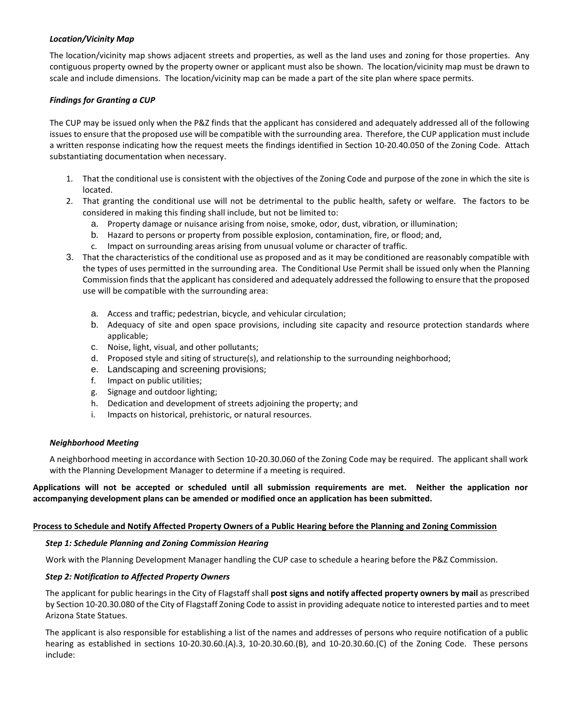#### *Location/Vicinity Map*

The location/vicinity map shows adjacent streets and properties, as well as the land uses and zoning for those properties. Any contiguous property owned by the property owner or applicant must also be shown. The location/vicinity map must be drawn to scale and include dimensions. The location/vicinity map can be made a part of the site plan where space permits.

## *Findings for Granting a CUP*

The CUP may be issued only when the P&Z finds that the applicant has considered and adequately addressed all of the following issues to ensure that the proposed use will be compatible with the surrounding area. Therefore, the CUP application must include a written response indicating how the request meets the findings identified in Section 10-20.40.050 of the Zoning Code. Attach substantiating documentation when necessary.

- 1. That the conditional use is consistent with the objectives of the Zoning Code and purpose of the zone in which the site is located.
- 2. That granting the conditional use will not be detrimental to the public health, safety or welfare. The factors to be considered in making this finding shall include, but not be limited to:
	- a. Property damage or nuisance arising from noise, smoke, odor, dust, vibration, or illumination;
	- b. Hazard to persons or property from possible explosion, contamination, fire, or flood; and,
	- c. Impact on surrounding areas arising from unusual volume or character of traffic.
- 3. That the characteristics of the conditional use as proposed and as it may be conditioned are reasonably compatible with the types of uses permitted in the surrounding area. The Conditional Use Permit shall be issued only when the Planning Commission finds that the applicant has considered and adequately addressed the following to ensure that the proposed use will be compatible with the surrounding area:
	- a. Access and traffic; pedestrian, bicycle, and vehicular circulation;
	- b. Adequacy of site and open space provisions, including site capacity and resource protection standards where applicable;
	- c. Noise, light, visual, and other pollutants;
	- d. Proposed style and siting of structure(s), and relationship to the surrounding neighborhood;
	- e. Landscaping and screening provisions;
	- f. Impact on public utilities;
	- g. Signage and outdoor lighting;
	- h. Dedication and development of streets adjoining the property; and
	- i. Impacts on historical, prehistoric, or natural resources.

## *Neighborhood Meeting*

A neighborhood meeting in accordance with Section 10-20.30.060 of the Zoning Code may be required. The applicant shall work with the Planning Development Manager to determine if a meeting is required.

## **Applications will not be accepted or scheduled until all submission requirements are met. Neither the application nor accompanying development plans can be amended or modified once an application has been submitted.**

#### **Process to Schedule and Notify Affected Property Owners of a Public Hearing before the Planning and Zoning Commission**

#### *Step 1: Schedule Planning and Zoning Commission Hearing*

Work with the Planning Development Manager handling the CUP case to schedule a hearing before the P&Z Commission.

## *Step 2: Notification to Affected Property Owners*

The applicant for public hearings in the City of Flagstaff shall **post signs and notify affected property owners by mail** as prescribed by Section 10-20.30.080 of the City of Flagstaff Zoning Code to assist in providing adequate notice to interested parties and to meet Arizona State Statues.

The applicant is also responsible for establishing a list of the names and addresses of persons who require notification of a public hearing as established in sections 10-20.30.60.(A).3, 10-20.30.60.(B), and 10-20.30.60.(C) of the Zoning Code. These persons include: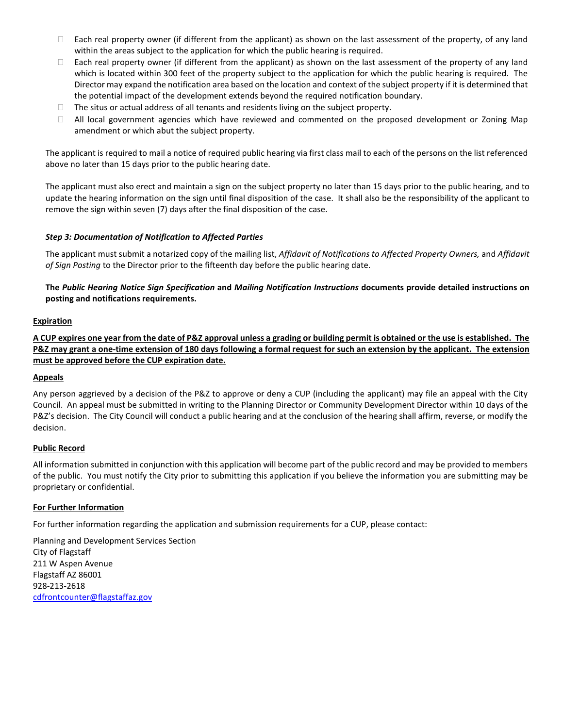- $\Box$  Each real property owner (if different from the applicant) as shown on the last assessment of the property, of any land within the areas subject to the application for which the public hearing is required.
- $\Box$  Each real property owner (if different from the applicant) as shown on the last assessment of the property of any land which is located within 300 feet of the property subject to the application for which the public hearing is required. The Director may expand the notification area based on the location and context of the subject property if it is determined that the potential impact of the development extends beyond the required notification boundary.
- $\Box$  The situs or actual address of all tenants and residents living on the subject property.
- $\Box$  All local government agencies which have reviewed and commented on the proposed development or Zoning Map amendment or which abut the subject property.

The applicant is required to mail a notice of required public hearing via first class mail to each of the persons on the list referenced above no later than 15 days prior to the public hearing date.

The applicant must also erect and maintain a sign on the subject property no later than 15 days prior to the public hearing, and to update the hearing information on the sign until final disposition of the case. It shall also be the responsibility of the applicant to remove the sign within seven (7) days after the final disposition of the case.

## *Step 3: Documentation of Notification to Affected Parties*

The applicant must submit a notarized copy of the mailing list, *Affidavit of Notifications to Affected Property Owners,* and *Affidavit of Sign Posting* to the Director prior to the fifteenth day before the public hearing date.

**The** *Public Hearing Notice Sign Specification* **and** *Mailing Notification Instructions* **documents provide detailed instructions on posting and notifications requirements.**

## **Expiration**

**A CUP expires one year from the date of P&Z approval unless a grading or building permit is obtained or the use is established. The P&Z may grant a one-time extension of 180 days following a formal request for such an extension by the applicant. The extension must be approved before the CUP expiration date.**

## **Appeals**

Any person aggrieved by a decision of the P&Z to approve or deny a CUP (including the applicant) may file an appeal with the City Council. An appeal must be submitted in writing to the Planning Director or Community Development Director within 10 days of the P&Z's decision. The City Council will conduct a public hearing and at the conclusion of the hearing shall affirm, reverse, or modify the decision.

## **Public Record**

All information submitted in conjunction with this application will become part of the public record and may be provided to members of the public. You must notify the City prior to submitting this application if you believe the information you are submitting may be proprietary or confidential.

## **For Further Information**

For further information regarding the application and submission requirements for a CUP, please contact:

Planning and Development Services Section City of Flagstaff 211 W Aspen Avenue Flagstaff AZ 86001 928-213-2618 [cdfrontcounter@flagstaffaz.gov](mailto:cdfrontcounter@flagstaffaz.gov)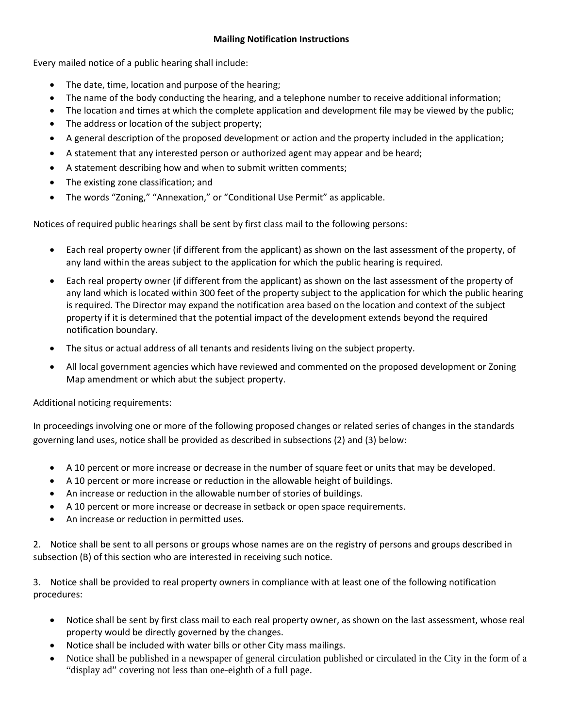# **Mailing Notification Instructions**

Every mailed notice of a public hearing shall include:

- The date, time, location and purpose of the hearing;
- The name of the body conducting the hearing, and a telephone number to receive additional information;
- The location and times at which the complete application and development file may be viewed by the public;
- The address or location of the subject property;
- A general description of the proposed development or action and the property included in the application;
- A statement that any interested person or authorized agent may appear and be heard;
- A statement describing how and when to submit written comments;
- The existing zone classification; and
- The words "Zoning," "Annexation," or "Conditional Use Permit" as applicable.

Notices of required public hearings shall be sent by first class mail to the following persons:

- Each real property owner (if different from the applicant) as shown on the last assessment of the property, of any land within the areas subject to the application for which the public hearing is required.
- Each real property owner (if different from the applicant) as shown on the last assessment of the property of any land which is located within 300 feet of the property subject to the application for which the public hearing is required. The Director may expand the notification area based on the location and context of the subject property if it is determined that the potential impact of the development extends beyond the required notification boundary.
- The situs or actual address of all tenants and residents living on the subject property.
- All local government agencies which have reviewed and commented on the proposed development or Zoning Map amendment or which abut the subject property.

Additional noticing requirements:

In proceedings involving one or more of the following proposed changes or related series of changes in the standards governing land uses, notice shall be provided as described in subsections (2) and (3) below:

- A 10 percent or more increase or decrease in the number of square feet or units that may be developed.
- A 10 percent or more increase or reduction in the allowable height of buildings.
- An increase or reduction in the allowable number of stories of buildings.
- A 10 percent or more increase or decrease in setback or open space requirements.
- An increase or reduction in permitted uses.

2. Notice shall be sent to all persons or groups whose names are on the registry of persons and groups described in subsection (B) of this section who are interested in receiving such notice.

3. Notice shall be provided to real property owners in compliance with at least one of the following notification procedures:

- Notice shall be sent by first class mail to each real property owner, as shown on the last assessment, whose real property would be directly governed by the changes.
- Notice shall be included with water bills or other City mass mailings.
- Notice shall be published in a newspaper of general circulation published or circulated in the City in the form of a "display ad" covering not less than one-eighth of a full page.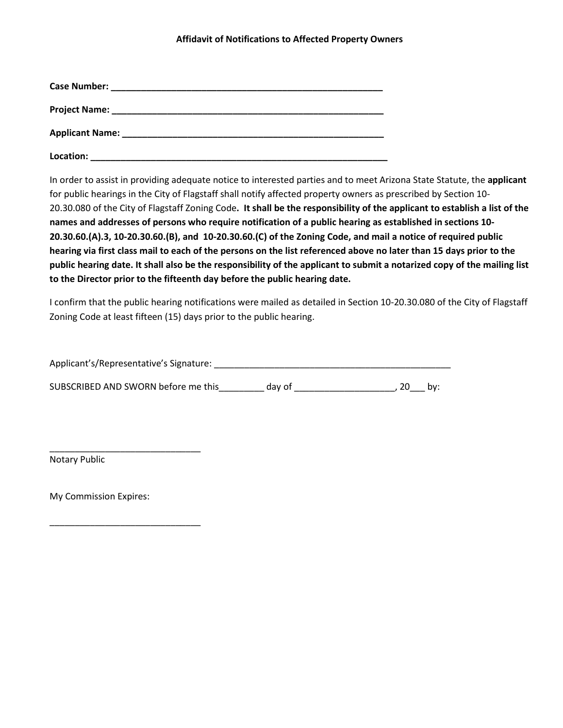## **Affidavit of Notifications to Affected Property Owners**

| <b>Applicant Name:</b> | <u> 1989 - Jan Sterling, mars and de la provincia de la provincia de la provincia de la provincia de la provincia</u> |  |
|------------------------|-----------------------------------------------------------------------------------------------------------------------|--|
| Location:              |                                                                                                                       |  |

In order to assist in providing adequate notice to interested parties and to meet Arizona State Statute, the **applicant**  for public hearings in the City of Flagstaff shall notify affected property owners as prescribed by Section 10- 20.30.080 of the City of Flagstaff Zoning Code**. It shall be the responsibility of the applicant to establish a list of the names and addresses of persons who require notification of a public hearing as established in sections 10- 20.30.60.(A).3, 10-20.30.60.(B), and 10-20.30.60.(C) of the Zoning Code, and mail a notice of required public hearing via first class mail to each of the persons on the list referenced above no later than 15 days prior to the public hearing date. It shall also be the responsibility of the applicant to submit a notarized copy of the mailing list to the Director prior to the fifteenth day before the public hearing date.**

I confirm that the public hearing notifications were mailed as detailed in Section 10-20.30.080 of the City of Flagstaff Zoning Code at least fifteen (15) days prior to the public hearing.

Applicant's/Representative's Signature: \_\_\_\_\_\_\_\_\_\_\_\_\_\_\_\_\_\_\_\_\_\_\_\_\_\_\_\_\_\_\_\_\_\_\_\_\_\_\_\_\_\_\_\_\_\_\_

SUBSCRIBED AND SWORN before me this day of day of the state of the state of the state of the state of the state of the state of the state of the state of the state of the state of the state of the state of the state of the

Notary Public

My Commission Expires:

\_\_\_\_\_\_\_\_\_\_\_\_\_\_\_\_\_\_\_\_\_\_\_\_\_\_\_\_\_\_

\_\_\_\_\_\_\_\_\_\_\_\_\_\_\_\_\_\_\_\_\_\_\_\_\_\_\_\_\_\_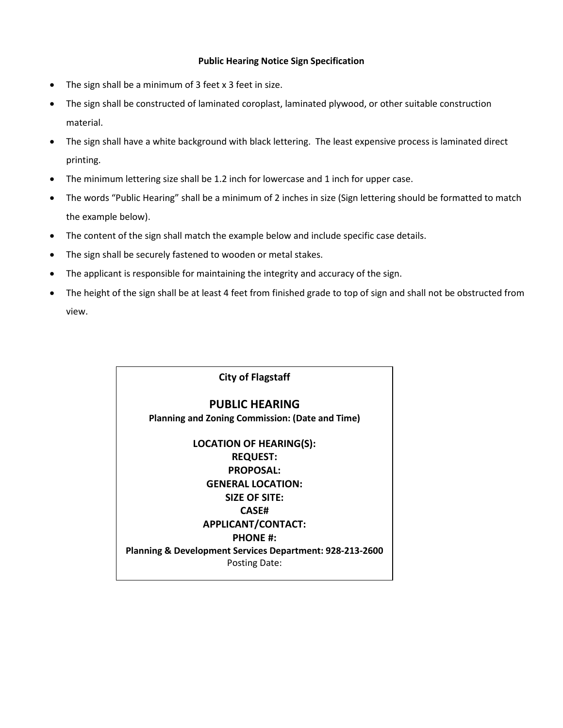## **Public Hearing Notice Sign Specification**

- The sign shall be a minimum of 3 feet x 3 feet in size.
- The sign shall be constructed of laminated coroplast, laminated plywood, or other suitable construction material.
- The sign shall have a white background with black lettering. The least expensive process is laminated direct printing.
- The minimum lettering size shall be 1.2 inch for lowercase and 1 inch for upper case.
- The words "Public Hearing" shall be a minimum of 2 inches in size (Sign lettering should be formatted to match the example below).
- The content of the sign shall match the example below and include specific case details.
- The sign shall be securely fastened to wooden or metal stakes.
- The applicant is responsible for maintaining the integrity and accuracy of the sign.
- The height of the sign shall be at least 4 feet from finished grade to top of sign and shall not be obstructed from view.